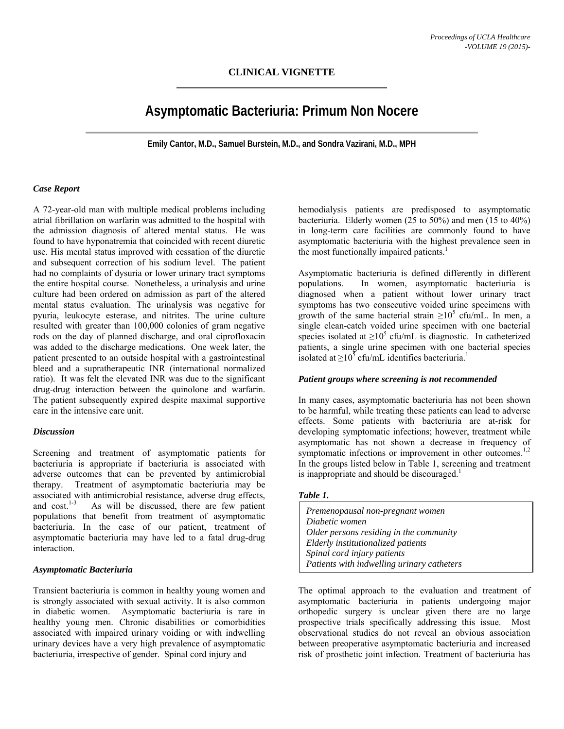## **CLINICAL VIGNETTE**

# **Asymptomatic Bacteriuria: Primum Non Nocere**

**Emily Cantor, M.D., Samuel Burstein, M.D., and Sondra Vazirani, M.D., MPH** 

#### *Case Report*

A 72-year-old man with multiple medical problems including atrial fibrillation on warfarin was admitted to the hospital with the admission diagnosis of altered mental status. He was found to have hyponatremia that coincided with recent diuretic use. His mental status improved with cessation of the diuretic and subsequent correction of his sodium level. The patient had no complaints of dysuria or lower urinary tract symptoms the entire hospital course. Nonetheless, a urinalysis and urine culture had been ordered on admission as part of the altered mental status evaluation. The urinalysis was negative for pyuria, leukocyte esterase, and nitrites. The urine culture resulted with greater than 100,000 colonies of gram negative rods on the day of planned discharge, and oral ciprofloxacin was added to the discharge medications. One week later, the patient presented to an outside hospital with a gastrointestinal bleed and a supratherapeutic INR (international normalized ratio). It was felt the elevated INR was due to the significant drug-drug interaction between the quinolone and warfarin. The patient subsequently expired despite maximal supportive care in the intensive care unit.

#### *Discussion*

Screening and treatment of asymptomatic patients for bacteriuria is appropriate if bacteriuria is associated with adverse outcomes that can be prevented by antimicrobial therapy. Treatment of asymptomatic bacteriuria may be associated with antimicrobial resistance, adverse drug effects, and  $cost^{1-3}$  As will be discussed, there are few patient As will be discussed, there are few patient populations that benefit from treatment of asymptomatic bacteriuria. In the case of our patient, treatment of asymptomatic bacteriuria may have led to a fatal drug-drug interaction.

#### *Asymptomatic Bacteriuria*

Transient bacteriuria is common in healthy young women and is strongly associated with sexual activity. It is also common in diabetic women. Asymptomatic bacteriuria is rare in healthy young men. Chronic disabilities or comorbidities associated with impaired urinary voiding or with indwelling urinary devices have a very high prevalence of asymptomatic bacteriuria, irrespective of gender. Spinal cord injury and

hemodialysis patients are predisposed to asymptomatic bacteriuria. Elderly women (25 to 50%) and men (15 to 40%) in long-term care facilities are commonly found to have asymptomatic bacteriuria with the highest prevalence seen in the most functionally impaired patients.<sup>1</sup>

Asymptomatic bacteriuria is defined differently in different populations. In women, asymptomatic bacteriuria is diagnosed when a patient without lower urinary tract symptoms has two consecutive voided urine specimens with growth of the same bacterial strain  $\geq 10^5$  cfu/mL. In men, a single clean-catch voided urine specimen with one bacterial species isolated at  $\geq 10^5$  cfu/mL is diagnostic. In catheterized patients, a single urine specimen with one bacterial species isolated at  $\geq 10^5$  cfu/mL identifies bacteriuria.<sup>1</sup>

#### *Patient groups where screening is not recommended*

In many cases, asymptomatic bacteriuria has not been shown to be harmful, while treating these patients can lead to adverse effects. Some patients with bacteriuria are at-risk for developing symptomatic infections; however, treatment while asymptomatic has not shown a decrease in frequency of symptomatic infections or improvement in other outcomes. $1,2$ In the groups listed below in Table 1, screening and treatment is inappropriate and should be discouraged.<sup>1</sup>

#### *Table 1.*

| Premenopausal non-pregnant women           |
|--------------------------------------------|
| Diabetic women                             |
| Older persons residing in the community    |
| Elderly institutionalized patients         |
| Spinal cord injury patients                |
| Patients with indwelling urinary catheters |

The optimal approach to the evaluation and treatment of asymptomatic bacteriuria in patients undergoing major orthopedic surgery is unclear given there are no large prospective trials specifically addressing this issue. Most observational studies do not reveal an obvious association between preoperative asymptomatic bacteriuria and increased risk of prosthetic joint infection. Treatment of bacteriuria has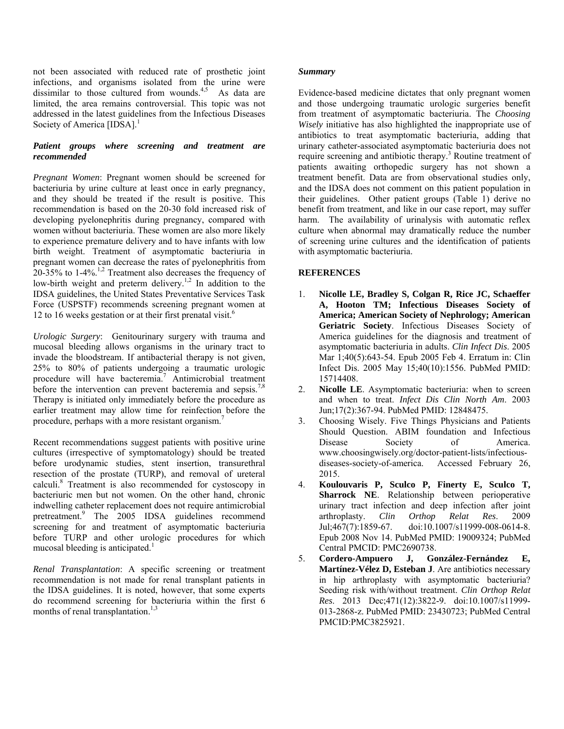not been associated with reduced rate of prosthetic joint infections, and organisms isolated from the urine were dissimilar to those cultured from wounds.<sup>4,5</sup> As data are limited, the area remains controversial. This topic was not addressed in the latest guidelines from the Infectious Diseases Society of America [IDSA].<sup>1</sup>

## *Patient groups where screening and treatment are recommended*

*Pregnant Women*: Pregnant women should be screened for bacteriuria by urine culture at least once in early pregnancy, and they should be treated if the result is positive. This recommendation is based on the 20-30 fold increased risk of developing pyelonephritis during pregnancy, compared with women without bacteriuria. These women are also more likely to experience premature delivery and to have infants with low birth weight. Treatment of asymptomatic bacteriuria in pregnant women can decrease the rates of pyelonephritis from 20-35% to  $1-4\%$ .<sup>1,2</sup> Treatment also decreases the frequency of low-birth weight and preterm delivery.<sup>1,2</sup> In addition to the IDSA guidelines, the United States Preventative Services Task Force (USPSTF) recommends screening pregnant women at 12 to 16 weeks gestation or at their first prenatal visit.<sup>6</sup>

*Urologic Surgery*: Genitourinary surgery with trauma and mucosal bleeding allows organisms in the urinary tract to invade the bloodstream. If antibacterial therapy is not given, 25% to 80% of patients undergoing a traumatic urologic procedure will have bacteremia.<sup>7</sup> Antimicrobial treatment before the intervention can prevent bacteremia and sepsis.<sup>7,8</sup> Therapy is initiated only immediately before the procedure as earlier treatment may allow time for reinfection before the procedure, perhaps with a more resistant organism.7

Recent recommendations suggest patients with positive urine cultures (irrespective of symptomatology) should be treated before urodynamic studies, stent insertion, transurethral resection of the prostate (TURP), and removal of ureteral calculi.<sup>8</sup> Treatment is also recommended for cystoscopy in bacteriuric men but not women. On the other hand, chronic indwelling catheter replacement does not require antimicrobial pretreatment.<sup>9</sup> The 2005 IDSA guidelines recommend screening for and treatment of asymptomatic bacteriuria before TURP and other urologic procedures for which mucosal bleeding is anticipated.<sup>1</sup>

*Renal Transplantation*: A specific screening or treatment recommendation is not made for renal transplant patients in the IDSA guidelines. It is noted, however, that some experts do recommend screening for bacteriuria within the first 6 months of renal transplantation.<sup>1,3</sup>

## *Summary*

Evidence-based medicine dictates that only pregnant women and those undergoing traumatic urologic surgeries benefit from treatment of asymptomatic bacteriuria. The *Choosing Wisely* initiative has also highlighted the inappropriate use of antibiotics to treat asymptomatic bacteriuria, adding that urinary catheter-associated asymptomatic bacteriuria does not require screening and antibiotic therapy.<sup>3</sup> Routine treatment of patients awaiting orthopedic surgery has not shown a treatment benefit. Data are from observational studies only, and the IDSA does not comment on this patient population in their guidelines. Other patient groups (Table 1) derive no benefit from treatment, and like in our case report, may suffer harm. The availability of urinalysis with automatic reflex culture when abnormal may dramatically reduce the number of screening urine cultures and the identification of patients with asymptomatic bacteriuria.

# **REFERENCES**

- 1. **Nicolle LE, Bradley S, Colgan R, Rice JC, Schaeffer A, Hooton TM; Infectious Diseases Society of America; American Society of Nephrology; American Geriatric Society**. Infectious Diseases Society of America guidelines for the diagnosis and treatment of asymptomatic bacteriuria in adults. *Clin Infect Dis*. 2005 Mar 1;40(5):643-54. Epub 2005 Feb 4. Erratum in: Clin Infect Dis. 2005 May 15;40(10):1556. PubMed PMID: 15714408.
- 2. **Nicolle LE**. Asymptomatic bacteriuria: when to screen and when to treat. *Infect Dis Clin North Am*. 2003 Jun;17(2):367-94. PubMed PMID: 12848475.
- 3. Choosing Wisely. Five Things Physicians and Patients Should Question. ABIM foundation and Infectious Disease Society of America. www.choosingwisely.org/doctor-patient-lists/infectiousdiseases-society-of-america. Accessed February 26, 2015.
- 4. **Koulouvaris P, Sculco P, Finerty E, Sculco T, Sharrock NE**. Relationship between perioperative urinary tract infection and deep infection after joint arthroplasty. *Clin Orthop Relat Res*. 2009 Jul;467(7):1859-67. doi:10.1007/s11999-008-0614-8. Epub 2008 Nov 14. PubMed PMID: 19009324; PubMed Central PMCID: PMC2690738.
- 5. **Cordero-Ampuero J, González-Fernández E, Martínez-Vélez D, Esteban J**. Are antibiotics necessary in hip arthroplasty with asymptomatic bacteriuria? Seeding risk with/without treatment. *Clin Orthop Relat Res*. 2013 Dec;471(12):3822-9. doi:10.1007/s11999- 013-2868-z. PubMed PMID: 23430723; PubMed Central PMCID:PMC3825921.